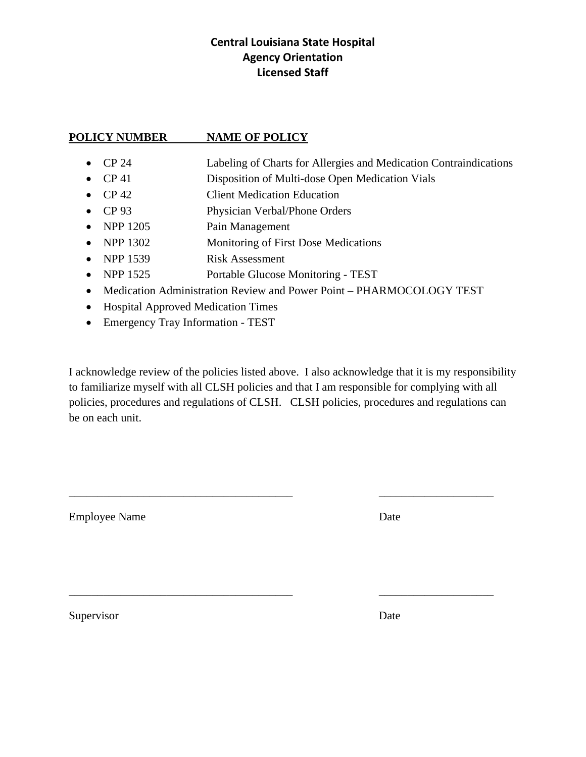## **Central Louisiana State Hospital Agency Orientation Licensed Staff**

### **POLICY NUMBER NAME OF POLICY**

- CP 24 Labeling of Charts for Allergies and Medication Contraindications
- CP 41 Disposition of Multi-dose Open Medication Vials
- CP 42 Client Medication Education
- CP 93 Physician Verbal/Phone Orders
- NPP 1205 Pain Management
- NPP 1302 Monitoring of First Dose Medications
- NPP 1539 Risk Assessment
- NPP 1525 Portable Glucose Monitoring TEST
- Medication Administration Review and Power Point PHARMOCOLOGY TEST
- Hospital Approved Medication Times
- Emergency Tray Information TEST

I acknowledge review of the policies listed above. I also acknowledge that it is my responsibility to familiarize myself with all CLSH policies and that I am responsible for complying with all policies, procedures and regulations of CLSH. CLSH policies, procedures and regulations can be on each unit.

 $\overline{\phantom{a}}$  , and the contribution of the contribution of the contribution of the contribution of the contribution of the contribution of the contribution of the contribution of the contribution of the contribution of the

 $\overline{\phantom{a}}$  , and the contribution of the contribution of the contribution of the contribution of the contribution of the contribution of the contribution of the contribution of the contribution of the contribution of the

Employee Name Date

Supervisor Date